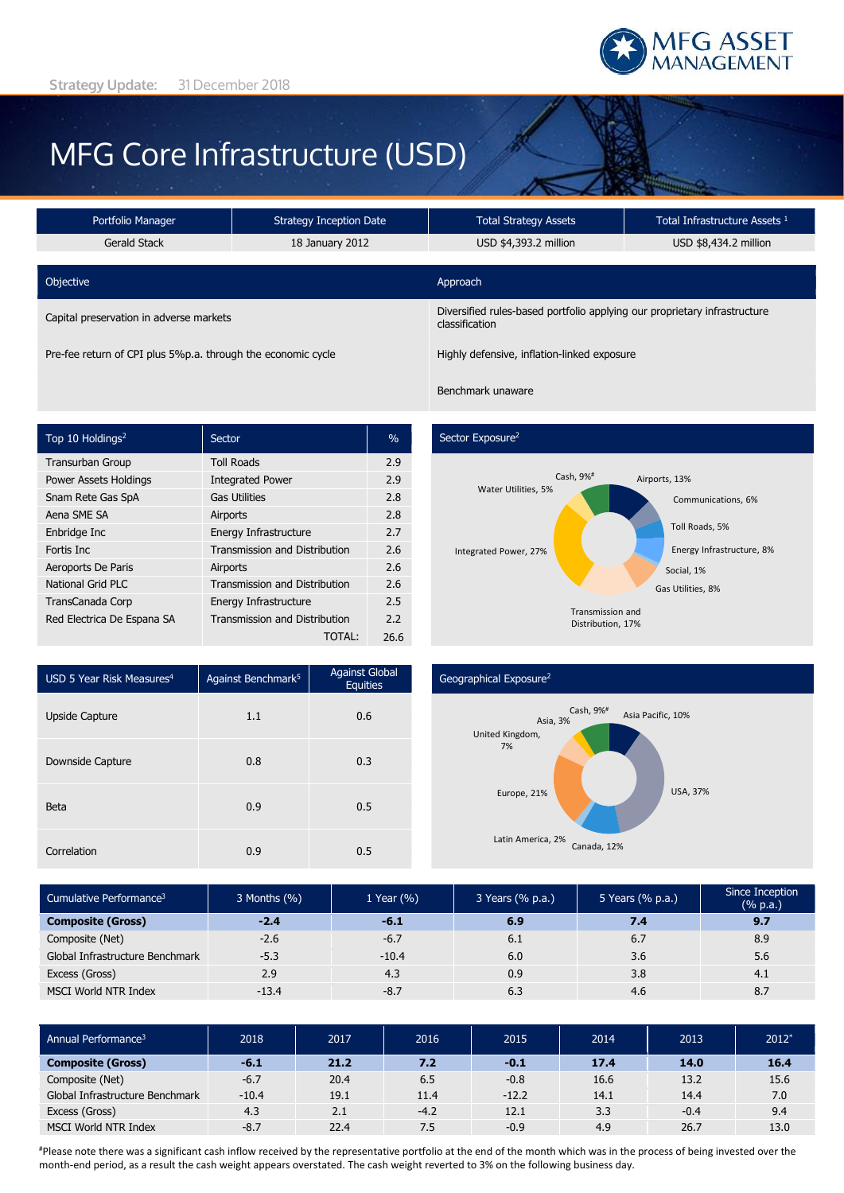

# MFG Core Infrastructure (USD)

| Portfolio Manager                                            | <b>Strategy Inception Date</b> | Total Strategy Assets                                                                       | Total Infrastructure Assets <sup>1</sup> |  |  |
|--------------------------------------------------------------|--------------------------------|---------------------------------------------------------------------------------------------|------------------------------------------|--|--|
| Gerald Stack                                                 | 18 January 2012                | USD \$4,393.2 million                                                                       | USD \$8,434.2 million                    |  |  |
|                                                              |                                |                                                                                             |                                          |  |  |
| Objective                                                    |                                | Approach                                                                                    |                                          |  |  |
| Capital preservation in adverse markets                      |                                | Diversified rules-based portfolio applying our proprietary infrastructure<br>classification |                                          |  |  |
| Pre-fee return of CPI plus 5%p.a. through the economic cycle |                                | Highly defensive, inflation-linked exposure                                                 |                                          |  |  |

Benchmark unaware

| Top 10 Holdings <sup>2</sup> | Sector                               | $\%$ |
|------------------------------|--------------------------------------|------|
| <b>Transurban Group</b>      | <b>Toll Roads</b>                    | 2.9  |
| <b>Power Assets Holdings</b> | <b>Integrated Power</b>              | 2.9  |
| Snam Rete Gas SpA            | <b>Gas Utilities</b>                 | 2.8  |
| Aena SME SA                  | Airports                             | 2.8  |
| Enbridge Inc                 | Energy Infrastructure                | 2.7  |
| Fortis Inc.                  | <b>Transmission and Distribution</b> | 2.6  |
| Aeroports De Paris           | Airports                             | 2.6  |
| National Grid PLC            | <b>Transmission and Distribution</b> | 2.6  |
| TransCanada Corp             | Energy Infrastructure                | 2.5  |
| Red Electrica De Espana SA   | Transmission and Distribution        | 2.2  |
|                              | TOTAI :                              | 26.6 |

### Sector Exposure<sup>2</sup>



| USD 5 Year Risk Measures <sup>4</sup> | Against Benchmark <sup>5</sup> | <b>Against Global</b><br><b>Equities</b> |  |
|---------------------------------------|--------------------------------|------------------------------------------|--|
| Upside Capture                        | 1.1                            | 0.6                                      |  |
| Downside Capture                      | 0.8                            | 0.3                                      |  |
| <b>Beta</b>                           | 0.9                            | 0.5                                      |  |
| Correlation                           | 0.9                            | 0.5                                      |  |

## Geographical Exposure<sup>2</sup>



| Cumulative Performance <sup>3</sup> | 3 Months (%) | 1 Year $(\% )$ | 3 Years (% p.a.) | 5 Years (% p.a.) | Since Inception<br>$(% \mathbb{R}^2)$ (% p.a.) |
|-------------------------------------|--------------|----------------|------------------|------------------|------------------------------------------------|
| <b>Composite (Gross)</b>            | $-2.4$       | $-6.1$         | 6.9              | 7.4              | 9.7                                            |
| Composite (Net)                     | $-2.6$       | $-6.7$         | 6.1              | 6.7              | 8.9                                            |
| Global Infrastructure Benchmark     | $-5.3$       | $-10.4$        | 6.0              | 3.6              | 5.6                                            |
| Excess (Gross)                      | 2.9          | 4.3            | 0.9              | 3.8              | 4.1                                            |
| MSCI World NTR Index                | $-13.4$      | $-8.7$         | 6.3              | 4.6              | 8.7                                            |

| Annual Performance <sup>3</sup> | 2018    | 2017 | 2016   | 2015    | 2014 | 2013   | $2012*$ |
|---------------------------------|---------|------|--------|---------|------|--------|---------|
| <b>Composite (Gross)</b>        | $-6.1$  | 21.2 | 7.2    | $-0.1$  | 17.4 | 14.0   | 16.4    |
| Composite (Net)                 | $-6.7$  | 20.4 | 6.5    | $-0.8$  | 16.6 | 13.2   | 15.6    |
| Global Infrastructure Benchmark | $-10.4$ | 19.1 | 11.4   | $-12.2$ | 14.1 | 14.4   | 7.0     |
| Excess (Gross)                  | 4.3     | 2.1  | $-4.2$ | 12.1    | 3.3  | $-0.4$ | 9.4     |
| <b>MSCI World NTR Index</b>     | $-8.7$  | 22.4 | 7.5    | $-0.9$  | 4.9  | 26.7   | 13.0    |

#Please note there was a significant cash inflow received by the representative portfolio at the end of the month which was in the process of being invested over the month-end period, as a result the cash weight appears overstated. The cash weight reverted to 3% on the following business day.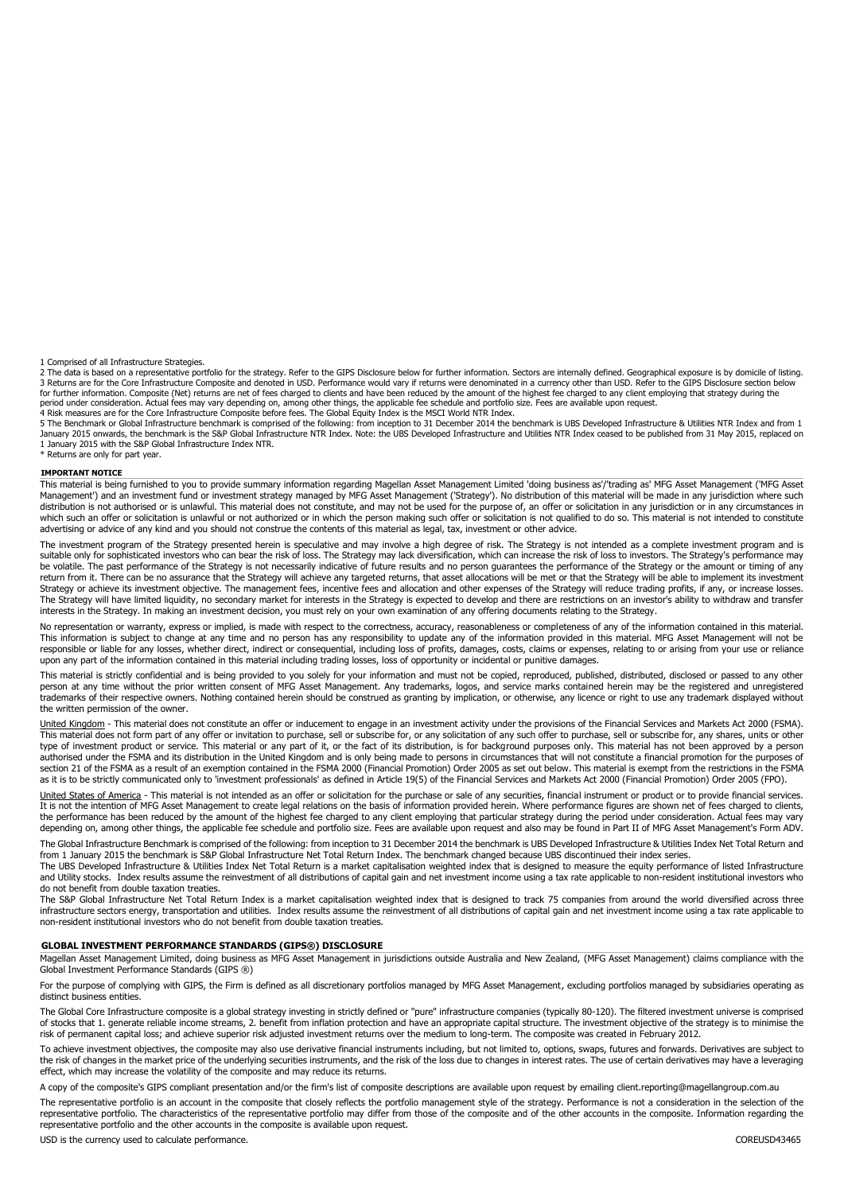1 Comprised of all Infrastructure Strategies.

2 The data is based on a representative portfolio for the strategy. Refer to the GIPS Disclosure below for further information. Sectors are internally defined. Geographical exposure is by domicile of listing.<br>3 Returns are for further information. Composite (Net) returns are net of fees charged to clients and have been reduced by the amount of the highest fee charged to any client employing that strategy during the period under consideration. Actual fees may vary depending on, among other things, the applicable fee schedule and portfolio size. Fees are available upon request.<br>4 Risk measures are for the Core Infrastructure Composite

5 The Benchmark or Global Infrastructure benchmark is comprised of the following: from inception to 31 December 2014 the benchmark is UBS Developed Infrastructure & Utilities NTR Index and from 1<br>January 2015 onwards, the 1 January 2015 with the S&P Global Infrastructure Index NTR.

\* Returns are only for part year.

#### **IMPORTANT NOTICE**

This material is being furnished to you to provide summary information regarding Magellan Asset Management Limited 'doing business as'/'trading as' MFG Asset Management ('MFG Asset Management') and an investment fund or investment strategy managed by MFG Asset Management ('Strategy'). No distribution of this material will be made in any jurisdiction where such<br>distribution is not authorised or is unl which such an offer or solicitation is unlawful or not authorized or in which the person making such offer or solicitation is not qualified to do so. This material is not intended to constitute<br>advertising or advice of any

The investment program of the Strategy presented herein is speculative and may involve a high degree of risk. The Strategy is not intended as a complete investment program and is suitable only for sophisticated investors who can bear the risk of loss. The Strategy may lack diversification, which can increase the risk of loss to investors. The Strategy's performance may be volatile. The past performance of the Strategy is not necessarily indicative of future results and no person guarantees the performance of the Strategy or the amount or timing of any return from it. There can be no assurance that the Strategy will achieve any targeted returns, that asset allocations will be met or that the Strategy will be able to implement its investment Strategy or achieve its investment objective. The management fees, incentive fees and allocation and other expenses of the Strategy will reduce trading profits, if any, or increase losses. The Strategy will have limited liquidity, no secondary market for interests in the Strategy is expected to develop and there are restrictions on an investor's ability to withdraw and transfer interests in the Strategy. In making an investment decision, you must rely on your own examination of any offering documents relating to the Strategy.

No representation or warranty, express or implied, is made with respect to the correctness, accuracy, reasonableness or completeness of any of the information contained in this material. This information is subject to change at any time and no person has any responsibility to update any of the information provided in this material. MFG Asset Management will not be<br>responsible or liable for any losses, whet upon any part of the information contained in this material including trading losses, loss of opportunity or incidental or punitive damages.

This material is strictly confidential and is being provided to you solely for your information and must not be copied, reproduced, published, distributed, disclosed or passed to any other<br>person at any time without the pr trademarks of their respective owners. Nothing contained herein should be construed as granting by implication, or otherwise, any licence or right to use any trademark displayed without the written permission of the owner.

United Kingdom - This material does not constitute an offer or inducement to engage in an investment activity under the provisions of the Financial Services and Markets Act 2000 (FSMA). This material does not form part of any offer or invitation to purchase, sell or subscribe for, or any solicitation of any such offer to purchase, sell or subscribe for, any shares, units or other type of investment product or service. This material or any part of it, or the fact of its distribution, is for background purposes only. This material has not been approved by a person authorised under the FSMA and its distribution in the United Kingdom and is only being made to persons in circumstances that will not constitute a financial promotion for the purposes of<br>section 21 of the FSMA as a result

United States of America - This material is not intended as an offer or solicitation for the purchase or sale of any securities, financial instrument or product or to provide financial services. It is not the intention of MFG Asset Management to create legal relations on the basis of information provided herein. Where performance figures are shown net of fees charged to clients, the performance has been reduced by the amount of the highest fee charged to any client employing that particular strategy during the period under consideration. Actual fees may vary<br>depending on, among other things, the a The Global Infrastructure Benchmark is comprised of the following: from inception to 31 December 2014 the benchmark is UBS Developed Infrastructure & Utilities Index Net Total Return and

from 1 January 2015 the benchmark is S&P Global Infrastructure Net Total Return Index. The benchmark changed because UBS discontinued their index series. The UBS Developed Infrastructure & Utilities Index Net Total Return is a market capitalisation weighted index that is designed to measure the equity performance of listed Infrastructure

and Utility stocks. Index results assume the reinvestment of all distributions of capital gain and net investment income using a tax rate applicable to non-resident institutional investors who do not benefit from double taxation treaties.

The S&P Global Infrastructure Net Total Return Index is a market capitalisation weighted index that is designed to track 75 companies from around the world diversified across three<br>infrastructure sectors energy, transporta non-resident institutional investors who do not benefit from double taxation treaties.

#### **GLOBAL INVESTMENT PERFORMANCE STANDARDS (GIPS®) DISCLOSURE**

Magellan Asset Management Limited, doing business as MFG Asset Management in jurisdictions outside Australia and New Zealand, (MFG Asset Management) claims compliance with the<br>Global Investment Performance Standards (GIPS

For the purpose of complying with GIPS, the Firm is defined as all discretionary portfolios managed by MFG Asset Management, excluding portfolios managed by subsidiaries operating as distinct business entities.

The Global Core Infrastructure composite is a global strategy investing in strictly defined or "pure" infrastructure companies (typically 80-120). The filtered investment universe is comprised<br>of stocks that 1. generate re risk of permanent capital loss; and achieve superior risk adjusted investment returns over the medium to long-term. The composite was created in February 2012.

To achieve investment objectives, the composite may also use derivative financial instruments including, but not limited to, options, swaps, futures and forwards. Derivatives are subject to the risk of changes in the market price of the underlying securities instruments, and the risk of the loss due to changes in interest rates. The use of certain derivatives may have a leveraging effect, which may increase the volatility of the composite and may reduce its returns.

A copy of the composite's GIPS compliant presentation and/or the firm's list of composite descriptions are available upon request by emailing client.reporting@magellangroup.com.au

The representative portfolio is an account in the composite that closely reflects the portfolio management style of the strategy. Performance is not a consideration in the selection of the representative portfolio. The characteristics of the representative portfolio may differ from those of the composite and of the other accounts in the composite. Information regarding the representative portfolio and the other accounts in the composite is available upon request.

USD is the currency used to calculate performance. COREUSD43465